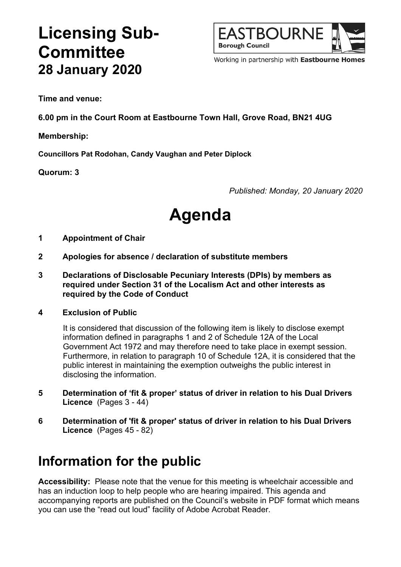## **Licensing Sub-Committee 28 January 2020**



Working in partnership with Eastbourne Homes

**Time and venue:**

**6.00 pm in the Court Room at Eastbourne Town Hall, Grove Road, BN21 4UG**

**Membership:**

**Councillors Pat Rodohan, Candy Vaughan and Peter Diplock**

**Quorum: 3**

*Published: Monday, 20 January 2020*

# **Agenda**

#### **1 Appointment of Chair**

- **2 Apologies for absence / declaration of substitute members**
- **3 Declarations of Disclosable Pecuniary Interests (DPIs) by members as required under Section 31 of the Localism Act and other interests as required by the Code of Conduct**

#### **4 Exclusion of Public**

It is considered that discussion of the following item is likely to disclose exempt information defined in paragraphs 1 and 2 of Schedule 12A of the Local Government Act 1972 and may therefore need to take place in exempt session. Furthermore, in relation to paragraph 10 of Schedule 12A, it is considered that the public interest in maintaining the exemption outweighs the public interest in disclosing the information.

- **5 Determination of 'fit & proper' status of driver in relation to his Dual Drivers Licence** (Pages 3 - 44)
- **6 Determination of 'fit & proper' status of driver in relation to his Dual Drivers Licence** (Pages 45 - 82)

### **Information for the public**

**Accessibility:** Please note that the venue for this meeting is wheelchair accessible and has an induction loop to help people who are hearing impaired. This agenda and accompanying reports are published on the Council's website in PDF format which means you can use the "read out loud" facility of Adobe Acrobat Reader.